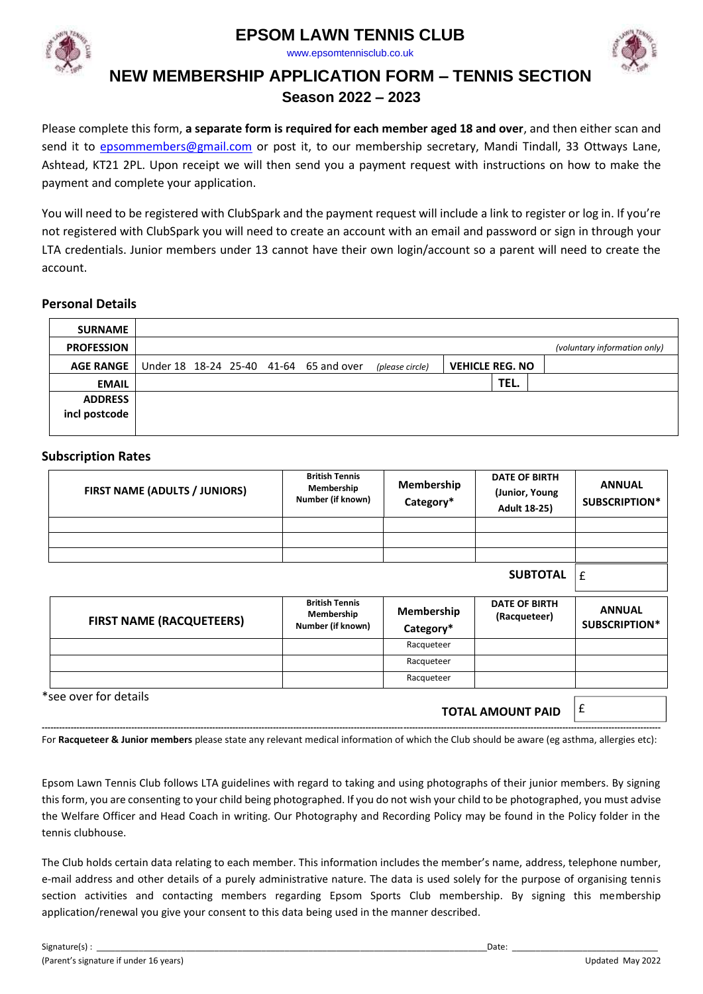

www.epsomtennisclub.co.uk





# **NEW MEMBERSHIP APPLICATION FORM – TENNIS SECTION**

## **Season 2022 – 2023**

Please complete this form, **a separate form is required for each member aged 18 and over**, and then either scan and send it to [epsommembers@gmail.com](mailto:epsommembers@gmail.com) or post it, to our membership secretary, Mandi Tindall, 33 Ottways Lane, Ashtead, KT21 2PL. Upon receipt we will then send you a payment request with instructions on how to make the payment and complete your application.

You will need to be registered with ClubSpark and the payment request will include a link to register or log in. If you're not registered with ClubSpark you will need to create an account with an email and password or sign in through your LTA credentials. Junior members under 13 cannot have their own login/account so a parent will need to create the account.

### **Personal Details**

| <b>SURNAME</b>    |  |  |                                        |                 |                        |      |                              |
|-------------------|--|--|----------------------------------------|-----------------|------------------------|------|------------------------------|
| <b>PROFESSION</b> |  |  |                                        |                 |                        |      | (voluntary information only) |
| <b>AGE RANGE</b>  |  |  | Under 18 18-24 25-40 41-64 65 and over | (please circle) | <b>VEHICLE REG. NO</b> |      |                              |
| <b>EMAIL</b>      |  |  |                                        |                 |                        | TEL. |                              |
| <b>ADDRESS</b>    |  |  |                                        |                 |                        |      |                              |
| incl postcode     |  |  |                                        |                 |                        |      |                              |
|                   |  |  |                                        |                 |                        |      |                              |

#### **Subscription Rates**

| FIRST NAME (ADULTS / JUNIORS)   | <b>British Tennis</b><br>Membership<br>Number (if known) | Membership<br>Category* | <b>DATE OF BIRTH</b><br>(Junior, Young<br><b>Adult 18-25)</b> | <b>ANNUAL</b><br>SUBSCRIPTION* |
|---------------------------------|----------------------------------------------------------|-------------------------|---------------------------------------------------------------|--------------------------------|
|                                 |                                                          |                         |                                                               |                                |
|                                 |                                                          |                         |                                                               |                                |
|                                 |                                                          |                         | <b>SUBTOTAL</b>                                               | £                              |
|                                 | <b>British Tennis</b><br>Membership                      | Membership              | <b>DATE OF BIRTH</b><br>(Racqueteer)                          | <b>ANNUAL</b>                  |
| <b>FIRST NAME (RACQUETEERS)</b> | Number (if known)                                        | Category*               |                                                               | SUBSCRIPTION*                  |
|                                 |                                                          | Racqueteer              |                                                               |                                |
|                                 |                                                          | Racqueteer              |                                                               |                                |
|                                 |                                                          | Racqueteer              |                                                               |                                |

**----------------------------------------------------------------------------------------------------------------------------------------------------------------------------------------------------------------------**  For **Racqueteer & Junior members** please state any relevant medical information of which the Club should be aware (eg asthma, allergies etc):

Epsom Lawn Tennis Club follows LTA guidelines with regard to taking and using photographs of their junior members. By signing this form, you are consenting to your child being photographed. If you do not wish your child to be photographed, you must advise the Welfare Officer and Head Coach in writing. Our Photography and Recording Policy may be found in the Policy folder in the tennis clubhouse.

The Club holds certain data relating to each member. This information includes the member's name, address, telephone number, e-mail address and other details of a purely administrative nature. The data is used solely for the purpose of organising tennis section activities and contacting members regarding Epsom Sports Club membership. By signing this membership application/renewal you give your consent to this data being used in the manner described.